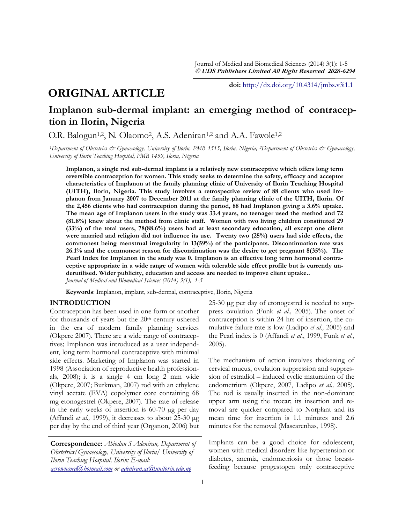# **ORIGINAL ARTICLE**

**doi:** [http://dx.doi.org/10.4314/jmbs.v3i1.1](http://dx.doi.org/10.4314/jmbs.v2i4.1)

## **Implanon sub-dermal implant: an emerging method of contraception in Ilorin, Nigeria**

O.R. Balogun<sup>1,2</sup>, N. Olaomo<sup>2</sup>, A.S. Adeniran<sup>1,2</sup> and A.A. Fawole<sup>1,2</sup>

*<sup>1</sup>Department of Obstetrics & Gynaecology, University of Ilorin, PMB 1515, Ilorin, Nigeria; 2Department of Obstetrics & Gynaecology, University of Ilorin Teaching Hospital, PMB 1459, Ilorin, Nigeria*

**Implanon, a single rod sub-dermal implant is a relatively new contraceptive which offers long term reversible contraception for women. This study seeks to determine the safety, efficacy and acceptor characteristics of Implanon at the family planning clinic of University of Ilorin Teaching Hospital (UITH), Ilorin, Nigeria. This study involves a retrospective review of 88 clients who used Implanon from January 2007 to December 2011 at the family planning clinic of the UITH, Ilorin. Of the 2,456 clients who had contraception during the period, 88 had Implanon giving a 3.6% uptake. The mean age of Implanon users in the study was 33.4 years, no teenager used the method and 72 (81.8%) knew about the method from clinic staff. Women with two living children constituted 29 (33%) of the total users, 78(88.6%) users had at least secondary education, all except one client were married and religion did not influence its use. Twenty two (25%) users had side effects, the commonest being menstrual irregularity in 13(59%) of the participants. Discontinuation rate was 26.1% and the commonest reason for discontinuation was the desire to get pregnant 8(35%). The Pearl Index for Implanon in the study was 0. Implanon is an effective long term hormonal contraceptive appropriate in a wide range of women with tolerable side effect profile but is currently underutilised. Wider publicity, education and access are needed to improve client uptake..** *Journal of Medical and Biomedical Sciences (2014) 3(1), 1-5*

**Keywords**: Implanon, implant, sub-dermal, contraceptive, Ilorin, Nigeria

## **INTRODUCTION**

Contraception has been used in one form or another for thousands of years but the  $20<sup>th</sup>$  century ushered in the era of modern family planning services (Okpere 2007). There are a wide range of contraceptives; Implanon was introduced as a user independent, long term hormonal contraceptive with minimal side effects. Marketing of Implanon was started in 1998 (Association of reproductive health professionals, 2008); it is a single 4 cm long 2 mm wide (Okpere, 2007; Burkman, 2007) rod with an ethylene vinyl acetate (EVA) copolymer core containing 68 mg etonogestrel (Okpere, 2007). The rate of release in the early weeks of insertion is 60-70 µg per day (Affandi *et al.,* 1999), it decreases to about 25-30 µg per day by the end of third year (Organon, 2006) but

**Correspondence:** *Abiodun S Adeniran, Department of Obstetrics/Gynaecology, University of Ilorin/ University of Ilorin Teaching Hospital, Ilorin; E-mail: [acrowncord@hotmail.com](mailto:acrowncord@hotmail.com) or [adeniran.as@unilorin.edu.ng](mailto:adeniran.as@unilorin.edu.gh)*

25-30 µg per day of etonogestrel is needed to suppress ovulation (Funk *et al.,* 2005). The onset of contraception is within 24 hrs of insertion, the cumulative failure rate is low (Ladipo *et al.,* 2005) and the Pearl index is 0 (Affandi *et al*., 1999, Funk *et al*., 2005).

The mechanism of action involves thickening of cervical mucus, ovulation suppression and suppression of estradiol – induced cyclic maturation of the endometrium (Okpere, 2007, Ladipo *et al.,* 2005). The rod is usually inserted in the non-dominant upper arm using the trocar; its insertion and removal are quicker compared to Norplant and its mean time for insertion is 1.1 minutes and 2.6 minutes for the removal (Mascarenhas, 1998).

Implants can be a good choice for adolescent, women with medical disorders like hypertension or diabetes, anemia, endometriosis or those breastfeeding because progestogen only contraceptive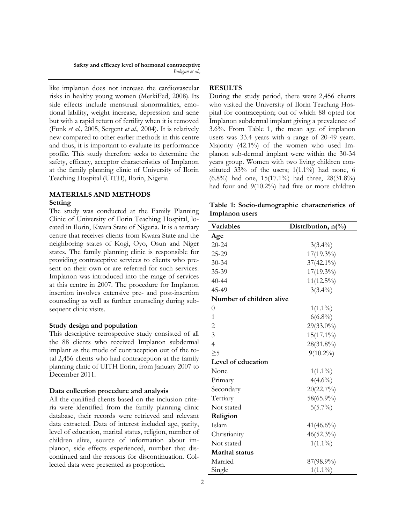**Safety and efficacy level of hormonal contraceptive** *Balogun et al.,*

like implanon does not increase the cardiovascular risks in healthy young women (MerkiFed, 2008). Its side effects include menstrual abnormalities, emotional lability, weight increase, depression and acne but with a rapid return of fertility when it is removed (Funk *et al.,* 2005, Sergent *et al.,* 2004). It is relatively new compared to other earlier methods in this centre and thus, it is important to evaluate its performance profile. This study therefore seeks to determine the safety, efficacy, acceptor characteristics of Implanon at the family planning clinic of University of Ilorin Teaching Hospital (UITH), Ilorin, Nigeria

## **MATERIALS AND METHODS Setting**

The study was conducted at the Family Planning Clinic of University of Ilorin Teaching Hospital, located in Ilorin, Kwara State of Nigeria. It is a tertiary centre that receives clients from Kwara State and the neighboring states of Kogi, Oyo, Osun and Niger states. The family planning clinic is responsible for providing contraceptive services to clients who present on their own or are referred for such services. Implanon was introduced into the range of services at this centre in 2007. The procedure for Implanon insertion involves extensive pre- and post-insertion counseling as well as further counseling during subsequent clinic visits.

#### **Study design and population**

This descriptive retrospective study consisted of all the 88 clients who received Implanon subdermal implant as the mode of contraception out of the total 2,456 clients who had contraception at the family planning clinic of UITH Ilorin, from January 2007 to December 2011.

#### **Data collection procedure and analysis**

All the qualified clients based on the inclusion criteria were identified from the family planning clinic database, their records were retrieved and relevant data extracted. Data of interest included age, parity, level of education, marital status, religion, number of children alive, source of information about implanon, side effects experienced, number that discontinued and the reasons for discontinuation. Collected data were presented as proportion.

## **RESULTS**

During the study period, there were 2,456 clients who visited the University of Ilorin Teaching Hospital for contraception; out of which 88 opted for Implanon subdermal implant giving a prevalence of 3.6%. From Table 1, the mean age of implanon users was 33.4 years with a range of 20-49 years. Majority (42.1%) of the women who used Implanon sub-dermal implant were within the 30-34 years group. Women with two living children constituted 33% of the users; 1(1.1%) had none, 6 (6.8%) had one, 15(17.1%) had three, 28(31.8%) had four and 9(10.2%) had five or more children

**Table 1: Socio-demographic characteristics of Implanon users**

| Variables                | Distribution, n(%) |
|--------------------------|--------------------|
| Age                      |                    |
| $20 - 24$                | $3(3.4\%)$         |
| 25-29                    | 17(19.3%)          |
| $30 - 34$                | $37(42.1\%)$       |
| 35-39                    | $17(19.3\%)$       |
| $40 - 44$                | $11(12.5\%)$       |
| 45-49                    | $3(3.4\%)$         |
| Number of children alive |                    |
| $\overline{0}$           | $1(1.1\%)$         |
| 1                        | $6(6.8\%)$         |
| $\overline{c}$           | $29(33.0\%)$       |
| $\overline{3}$           | $15(17.1\%)$       |
| $\overline{4}$           | 28(31.8%)          |
| $\geq 5$                 | $9(10.2\%)$        |
| Level of education       |                    |
| None                     | $1(1.1\%)$         |
| Primary                  | $4(4.6\%)$         |
| Secondary                | 20(22.7%)          |
| Tertiary                 | 58(65.9%)          |
| Not stated               | $5(5.7\%)$         |
| Religion                 |                    |
| Islam                    | $41(46.6\%)$       |
| Christianity             | $46(52.3\%)$       |
| Not stated               | $1(1.1\%)$         |
| <b>Marital</b> status    |                    |
| Married                  | 87(98.9%)          |
| Single                   | $1(1.1\%)$         |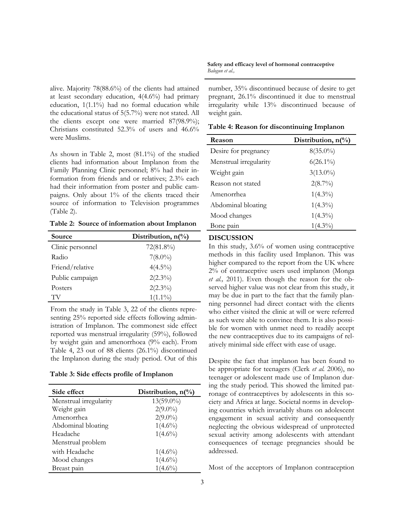alive. Majority 78(88.6%) of the clients had attained at least secondary education, 4(4.6%) had primary education, 1(1.1%) had no formal education while the educational status of 5(5.7%) were not stated. All the clients except one were married 87(98.9%); Christians constituted 52.3% of users and 46.6% were Muslims.

As shown in Table 2, most (81.1%) of the studied clients had information about Implanon from the Family Planning Clinic personnel; 8% had their information from friends and or relatives; 2.3% each had their information from poster and public campaigns. Only about 1% of the clients traced their source of information to Television programmes (Table 2).

**Table 2: Source of information about Implanon**

| Source           | Distribution, $n\binom{0}{0}$ |
|------------------|-------------------------------|
| Clinic personnel | $72(81.8\%)$                  |
| Radio            | $7(8.0\%)$                    |
| Friend/relative  | $4(4.5\%)$                    |
| Public campaign  | $2(2.3\%)$                    |
| Posters          | $2(2.3\%)$                    |
| TV               | $1(1.1\%)$                    |

From the study in Table 3, 22 of the clients representing 25% reported side effects following administration of Implanon. The commonest side effect reported was menstrual irregularity (59%), followed by weight gain and amenorrhoea (9% each). From Table 4, 23 out of 88 clients (26.1%) discontinued the Implanon during the study period. Out of this

#### **Table 3: Side effects profile of Implanon**

| Side effect            | Distribution, $n\binom{0}{0}$ |
|------------------------|-------------------------------|
| Menstrual irregularity | $13(59.0\%)$                  |
| Weight gain            | $2(9.0\%)$                    |
| Amenorrhea             | $2(9.0\%)$                    |
| Abdominal bloating     | $1(4.6\%)$                    |
| Headache               | $1(4.6\%)$                    |
| Menstrual problem      |                               |
| with Headache          | $1(4.6\%)$                    |
| Mood changes           | $1(4.6\%)$                    |
| Breast pain            | $(4.6\%)$                     |

**Safety and efficacy level of hormonal contraceptive** *Balogun et al.,*

number, 35% discontinued because of desire to get pregnant, 26.1% discontinued it due to menstrual irregularity while 13% discontinued because of weight gain.

| Table 4: Reason for discontinuing Implanon |  |  |  |  |  |  |
|--------------------------------------------|--|--|--|--|--|--|
|--------------------------------------------|--|--|--|--|--|--|

| Reason                 | Distribution, $n\binom{0}{0}$ |
|------------------------|-------------------------------|
| Desire for pregnancy   | $8(35.0\%)$                   |
| Menstrual irregularity | $6(26.1\%)$                   |
| Weight gain            | $3(13.0\%)$                   |
| Reason not stated      | $2(8.7\%)$                    |
| Amenorrhea             | $1(4.3\%)$                    |
| Abdominal bloating     | $1(4.3\%)$                    |
| Mood changes           | $1(4.3\%)$                    |
| Bone pain              | $1(4.3\%)$                    |

#### **DISCUSSION**

In this study, 3.6% of women using contraceptive methods in this facility used Implanon. This was higher compared to the report from the UK where 2% of contraceptive users used implanon (Monga *et al.,* 2011). Even though the reason for the observed higher value was not clear from this study, it may be due in part to the fact that the family planning personnel had direct contact with the clients who either visited the clinic at will or were referred as such were able to convince them. It is also possible for women with unmet need to readily accept the new contraceptives due to its campaigns of relatively minimal side effect with ease of usage.

Despite the fact that implanon has been found to be appropriate for teenagers (Clerk *et al.* 2006), no teenager or adolescent made use of Implanon during the study period. This showed the limited patronage of contraceptives by adolescents in this society and Africa at large. Societal norms in developing countries which invariably shuns on adolescent engagement in sexual activity and consequently neglecting the obvious widespread of unprotected sexual activity among adolescents with attendant consequences of teenage pregnancies should be addressed.

Most of the acceptors of Implanon contraception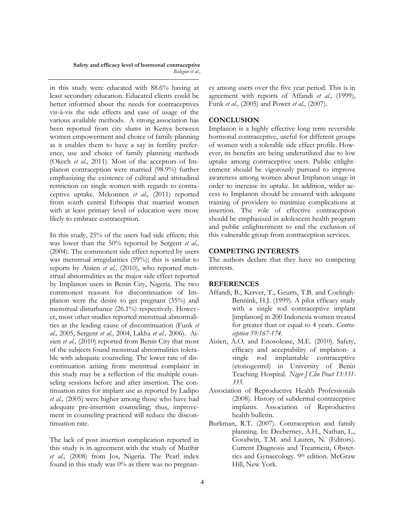#### **Safety and efficacy level of hormonal contraceptive** *Balogun et al.,*

in this study were educated with 88.6% having at least secondary education. Educated clients could be better informed about the needs for contraceptives vis-à-vis the side effects and ease of usage of the various available methods. A strong association has been reported from city slums in Kenya between women empowerment and choice of family planning as it enables them to have a say in fertility preference, use and choice of family planning methods (Okech *et al.,* 2011). Most of the acceptors of Implanon contraception were married (98.9%) further emphasizing the existence of cultural and attitudinal restriction on single women with regards to contraceptive uptake. Mekonnen *et al.,* (2011) reported from south central Ethiopia that married women with at least primary level of education were more likely to embrace contraception.

In this study, 25% of the users had side effects; this was lower than the 50% reported by Sergent *et al.,*  (2004). The commonest side effect reported by users was menstrual irregularities (59%); this is similar to reports by Aisien *et al.,* (2010), who reported menstrual abnormalities as the major side effect reported by Implanon users in Benin City, Nigeria. The two commonest reasons for discontinuation of Implanon were the desire to get pregnant (35%) and menstrual disturbance (26.1%) respectively. However, most other studies reported menstrual abnormalities as the leading cause of discontinuation (Funk *et al.,* 2005, Sergent *et al.,* 2004, Lakha *et al.,* 2006). Aisien *et al.,* (2010) reported from Benin City that most of the subjects found menstrual abnormalities tolerable with adequate counseling. The lower rate of discontinuation arising from menstrual complaint in this study may be a reflection of the multiple counseling sessions before and after insertion. The continuation rates for implant use as reported by Ladipo *et al.,* (2005) were higher among those who have had adequate pre-insertion counseling; thus, improvement in counseling practiced will reduce the discontinuation rate.

The lack of post insertion complication reported in this study is in agreement with the study of Mutihir *et al.,* (2008) from Jos, Nigeria. The Pearl index found in this study was  $0\%$  as there was no pregnancy among users over the five year period. This is in agreement with reports of Affandi *et al.,* (1999), Funk *et al.,* (2005) and Power *et al.,* (2007).

#### **CONCLUSION**

Implanon is a highly effective long term reversible hormonal contraceptive, useful for different groups of women with a tolerable side effect profile. However, its benefits are being underutilized due to low uptake among contraceptive users. Public enlightenment should be vigorously pursued to improve awareness among women about Implanon usage in order to increase its uptake. In addition, wider access to Implanon should be ensured with adequate training of providers to minimize complications at insertion. The role of effective contraception should be emphasized in adolescent health program and public enlightenment to end the exclusion of this vulnerable group from contraception services.

## **COMPETING INTERESTS**

The authors declare that they have no competing interests.

## **REFERENCES**

- Affandi, B., Kerver, T., Geurts, T.B. and Coelingh-Bennink, H.J. (1999). A pilot efficacy study with a single rod contraceptive implant [implanon] in 200 Indonesia women treated for greater than or equal to 4 years. *Contraception 59:167-174.*
- Aisien, A.O. and Enosolease, M.E. (2010). Safety, efficacy and acceptability of implanon- a single rod implantable contraceptive (etonogestrel) in University of Benin Teaching Hospital. *Niger J Clin Pract 13:331- 335.*
- Association of Reproductive Health Professionals (2008). History of subdermal contraceptive implants. Association of Reproductive health bulletin.
- Burkman, R.T. (2007). Contraception and family planning. In: Decherney, A.H., Nathan, L., Goodwin, T.M. and Lauren, N. (Editors). Current Diagnosis and Treatment, Obstetrics and Gynaecology. 9th edition. McGraw Hill, New York.